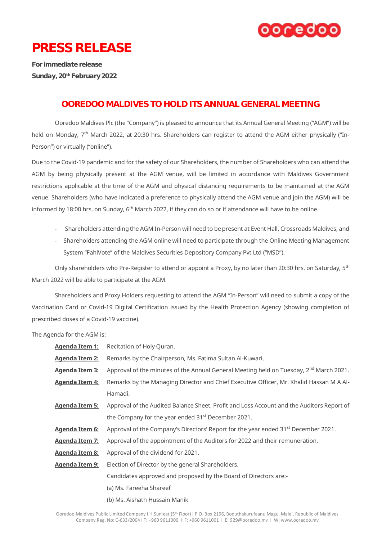

## PRESS RELEASE

For immediate release Sunday, 20<sup>th</sup> February 2022

## OOREDOO MALDIVES TO HOLD ITS ANNUAL GENERAL MEETING

Ooredoo Maldives Plc (the "Company") is pleased to announce that its Annual General Meeting ("AGM") will be held on Monday, 7<sup>th</sup> March 2022, at 20:30 hrs. Shareholders can register to attend the AGM either physically ("In-Person") or virtually ("online").

Due to the Covid-19 pandemic and for the safety of our Shareholders, the number of Shareholders who can attend the AGM by being physically present at the AGM venue, will be limited in accordance with Maldives Government restrictions applicable at the time of the AGM and physical distancing requirements to be maintained at the AGM venue. Shareholders (who have indicated a preference to physically attend the AGM venue and join the AGM) will be informed by 18:00 hrs. on Sunday,  $6<sup>th</sup>$  March 2022, if they can do so or if attendance will have to be online.

- Shareholders attending the AGM In-Person will need to be present at Event Hall, Crossroads Maldives; and
- Shareholders attending the AGM online will need to participate through the Online Meeting Management System "FahiVote" of the Maldives Securities Depository Company Pvt Ltd ("MSD").

Only shareholders who Pre-Register to attend or appoint a Proxy, by no later than 20:30 hrs. on Saturday, 5<sup>th</sup> March 2022 will be able to participate at the AGM.

Shareholders and Proxy Holders requesting to attend the AGM "In-Person" will need to submit a copy of the Vaccination Card or Covid-19 Digital Certification issued by the Health Protection Agency (showing completion of prescribed doses of a Covid-19 vaccine).

The Agenda for the AGM is:

| <u> Aqenda Item 1:</u> | Recitation of Holy Quran.                                                                      |
|------------------------|------------------------------------------------------------------------------------------------|
| <u> Aqenda Item 2:</u> | Remarks by the Chairperson, Ms. Fatima Sultan Al-Kuwari.                                       |
| <u> Agenda Item 3:</u> | Approval of the minutes of the Annual General Meeting held on Tuesday, $2^{nd}$ March 2021.    |
| <u>Agenda Item 4:</u>  | Remarks by the Managing Director and Chief Executive Officer, Mr. Khalid Hassan M A Al-        |
|                        | Hamadi.                                                                                        |
| <u>Agenda Item 5:</u>  | Approval of the Audited Balance Sheet, Profit and Loss Account and the Auditors Report of      |
|                        | the Company for the year ended 31 <sup>st</sup> December 2021.                                 |
| <u>Agenda Item 6:</u>  | Approval of the Company's Directors' Report for the year ended 31 <sup>st</sup> December 2021. |
| <u>Aqenda Item 7:</u>  | Approval of the appointment of the Auditors for 2022 and their remuneration.                   |
| <u>Agenda Item 8:</u>  | Approval of the dividend for 2021.                                                             |
| Agenda Item 9:         | Election of Director by the general Shareholders.                                              |
|                        | Candidates approved and proposed by the Board of Directors are:-                               |
|                        | (a) Ms. Fareeha Shareef                                                                        |
|                        | (b) Ms. Aishath Hussain Manik                                                                  |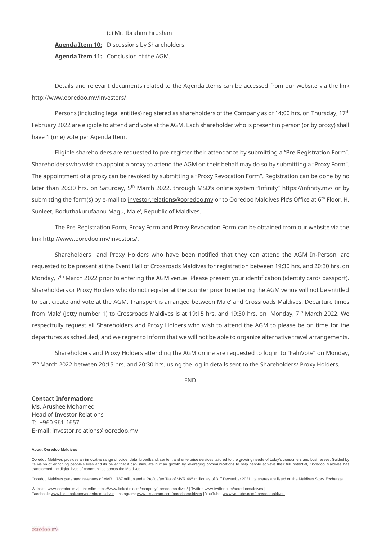(c) Mr. Ibrahim Firushan **Agenda Item 10:** Discussions by Shareholders. **Agenda Item 11:** Conclusion of the AGM.

Details and relevant documents related to the Agenda Items can be accessed from our website via the link [http://www.ooredoo.mv/investors/.](http://www.ooredoo.mv/investors/)

Persons (including legal entities) registered as shareholders of the Company as of 14:00 hrs. on Thursday, 17th February 2022 are eligible to attend and vote at the AGM. Each shareholder who is present in person (or by proxy) shall have 1 (one) vote per Agenda Item.

Eligible shareholders are requested to pre-register their attendance by submitting a "Pre-Registration Form". Shareholders who wish to appoint a proxy to attend the AGM on their behalf may do so by submitting a "Proxy Form". The appointment of a proxy can be revoked by submitting a "Proxy Revocation Form". Registration can be done by no later than 20:30 hrs. on Saturday, 5<sup>th</sup> March 2022, through MSD's online system "Infinity" https://infinity.my/ or by submitting the form(s) by e-mail to investor.relations@ooredoo.my or to Ooredoo Maldives Plc's Office at 6<sup>th</sup> Floor, H. Sunleet, Boduthakurufaanu Magu, Male', Republic of Maldives.

The Pre-Registration Form, Proxy Form and Proxy Revocation Form can be obtained from our website via the link [http://www.ooredoo.mv/investors/.](http://www.ooredoo.mv/investors/)

Shareholders and Proxy Holders who have been notified that they can attend the AGM In-Person, are requested to be present at the Event Hall of Crossroads Maldives for registration between 19:30 hrs. and 20:30 hrs. on Monday, 7<sup>th</sup> March 2022 prior to entering the AGM venue. Please present your identification (identity card/ passport). Shareholders or Proxy Holders who do not register at the counter prior to entering the AGM venue will not be entitled to participate and vote at the AGM. Transport is arranged between Male' and Crossroads Maldives. Departure times from Male' (letty number 1) to Crossroads Maldives is at 19:15 hrs. and 19:30 hrs. on Monday, 7<sup>th</sup> March 2022. We respectfully request all Shareholders and Proxy Holders who wish to attend the AGM to please be on time for the departures as scheduled, and we regret to inform that we will not be able to organize alternative travel arrangements.

Shareholders and Proxy Holders attending the AGM online are requested to log in to "FahiVote" on Monday, 7 th March 2022 between 20:15 hrs. and 20:30 hrs. using the log in details sent to the Shareholders/ Proxy Holders.

 $- FND -$ 

**Contact Information:** Ms. Arushee Mohamed Head of Investor Relations T: +960 961-1657 E*-*mail: investor.relations@ooredoo.mv

## **About Ooredoo Maldives**

Ooredoo Maldives provides an innovative range of voice, data, broadband, content and enterprise services tailored to the growing needs of today's consumers and businesses. Guided by its vision of enriching people's lives and its belief that it can stimulate human growth by leveraging communications to help people achieve their full potential, Ooredoo Maldives has transformed the digital lives of communities across the Maldives.

Ooredoo Maldives generated revenues of MVR 1.787 million and a Profit after Tax of MVR 465 million as of 31<sup>st</sup> December 2021. Its shares are listed on the Maldives Stock Exchange.

Website: <u>[www.ooredoo.mv](http://www.ooredoo.mv/)</u> | LinkedIn: <u><https://www.linkedin.com/company/ooredoomaldives/></u> | Twitter: <u>[www.twitter.com/ooredoomaldives](http://www.twitter.com/ooredoomaldives)</u> |<br>Facebook: <u>[www.facebook.com/ooredoomaldives](http://www.facebook.com/ooredoomaldives) |</u> Instagram: <u>www.instagram.com/ooredoom</u>